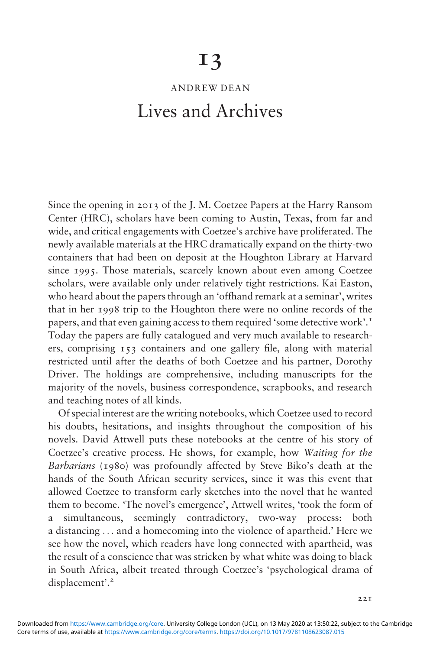## ANDREW DEAN Lives and Archives

Since the opening in 2013 of the J. M. Coetzee Papers at the Harry Ransom Center (HRC), scholars have been coming to Austin, Texas, from far and wide, and critical engagements with Coetzee's archive have proliferated. The newly available materials at the HRC dramatically expand on the thirty-two containers that had been on deposit at the Houghton Library at Harvard since 1995. Those materials, scarcely known about even among Coetzee scholars, were available only under relatively tight restrictions. Kai Easton, who heard about the papers through an 'offhand remark at a seminar', writes that in her 1998 trip to the Houghton there were no online records of the papers, and that even gaining access to them required 'some detective work'.<sup>1</sup> Today the papers are fully catalogued and very much available to researchers, comprising 153 containers and one gallery file, along with material restricted until after the deaths of both Coetzee and his partner, Dorothy Driver. The holdings are comprehensive, including manuscripts for the majority of the novels, business correspondence, scrapbooks, and research and teaching notes of all kinds.

Of special interest are the writing notebooks, which Coetzee used to record his doubts, hesitations, and insights throughout the composition of his novels. David Attwell puts these notebooks at the centre of his story of Coetzee's creative process. He shows, for example, how Waiting for the Barbarians (1980) was profoundly affected by Steve Biko's death at the hands of the South African security services, since it was this event that allowed Coetzee to transform early sketches into the novel that he wanted them to become. 'The novel's emergence', Attwell writes, 'took the form of simultaneous, seemingly contradictory, two-way process: both a distancing ... and a homecoming into the violence of apartheid.' Here we see how the novel, which readers have long connected with apartheid, was the result of a conscience that was stricken by what white was doing to black in South Africa, albeit treated through Coetzee's 'psychological drama of displacement'.<sup>2</sup>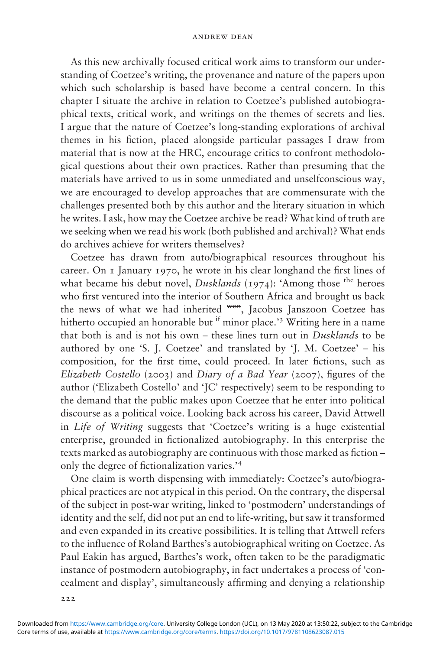As this new archivally focused critical work aims to transform our understanding of Coetzee's writing, the provenance and nature of the papers upon which such scholarship is based have become a central concern. In this chapter I situate the archive in relation to Coetzee's published autobiographical texts, critical work, and writings on the themes of secrets and lies. I argue that the nature of Coetzee's long-standing explorations of archival themes in his fiction, placed alongside particular passages I draw from material that is now at the HRC, encourage critics to confront methodological questions about their own practices. Rather than presuming that the materials have arrived to us in some unmediated and unselfconscious way, we are encouraged to develop approaches that are commensurate with the challenges presented both by this author and the literary situation in which he writes. I ask, how may the Coetzee archive be read? What kind of truth are we seeking when we read his work (both published and archival)? What ends do archives achieve for writers themselves?

Coetzee has drawn from auto/biographical resources throughout his career. On 1 January 1970, he wrote in his clear longhand the first lines of what became his debut novel, *Dusklands* (1974): 'Among those <sup>the</sup> heroes who first ventured into the interior of Southern Africa and brought us back the news of what we had inherited won, Jacobus Janszoon Coetzee has hitherto occupied an honorable but <sup>if</sup> minor place.<sup>3</sup> Writing here in a name that both is and is not his own – these lines turn out in Dusklands to be authored by one 'S. J. Coetzee' and translated by 'J. M. Coetzee' – his composition, for the first time, could proceed. In later fictions, such as Elizabeth Costello (2003) and Diary of a Bad Year (2007), figures of the author ('Elizabeth Costello' and 'JC' respectively) seem to be responding to the demand that the public makes upon Coetzee that he enter into political discourse as a political voice. Looking back across his career, David Attwell in Life of Writing suggests that 'Coetzee's writing is a huge existential enterprise, grounded in fictionalized autobiography. In this enterprise the texts marked as autobiography are continuous with those marked as fiction – only the degree of fictionalization varies.' 4

One claim is worth dispensing with immediately: Coetzee's auto/biographical practices are not atypical in this period. On the contrary, the dispersal of the subject in post-war writing, linked to 'postmodern' understandings of identity and the self, did not put an end to life-writing, but saw it transformed and even expanded in its creative possibilities. It is telling that Attwell refers to the influence of Roland Barthes's autobiographical writing on Coetzee. As Paul Eakin has argued, Barthes's work, often taken to be the paradigmatic instance of postmodern autobiography, in fact undertakes a process of 'concealment and display', simultaneously affirming and denying a relationship

222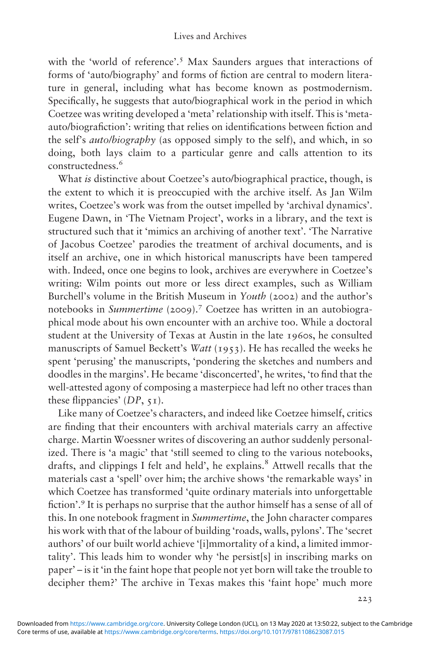with the 'world of reference'. <sup>5</sup> Max Saunders argues that interactions of forms of 'auto/biography' and forms of fiction are central to modern literature in general, including what has become known as postmodernism. Specifically, he suggests that auto/biographical work in the period in which Coetzee was writing developed a 'meta'relationship with itself. This is'metaauto/biografiction': writing that relies on identifications between fiction and the self's auto/biography (as opposed simply to the self), and which, in so doing, both lays claim to a particular genre and calls attention to its constructedness.<sup>6</sup>

What is distinctive about Coetzee's auto/biographical practice, though, is the extent to which it is preoccupied with the archive itself. As Jan Wilm writes, Coetzee's work was from the outset impelled by 'archival dynamics'. Eugene Dawn, in 'The Vietnam Project', works in a library, and the text is structured such that it 'mimics an archiving of another text'. 'The Narrative of Jacobus Coetzee' parodies the treatment of archival documents, and is itself an archive, one in which historical manuscripts have been tampered with. Indeed, once one begins to look, archives are everywhere in Coetzee's writing: Wilm points out more or less direct examples, such as William Burchell's volume in the British Museum in Youth (2002) and the author's notebooks in Summertime (2009).<sup>7</sup> Coetzee has written in an autobiographical mode about his own encounter with an archive too. While a doctoral student at the University of Texas at Austin in the late 1960s, he consulted manuscripts of Samuel Beckett's Watt (1953). He has recalled the weeks he spent 'perusing' the manuscripts, 'pondering the sketches and numbers and doodles in the margins'. He became 'disconcerted', he writes, 'to find that the well-attested agony of composing a masterpiece had left no other traces than these flippancies'  $(DP, 5I)$ .

Like many of Coetzee's characters, and indeed like Coetzee himself, critics are finding that their encounters with archival materials carry an affective charge. Martin Woessner writes of discovering an author suddenly personalized. There is 'a magic' that 'still seemed to cling to the various notebooks, drafts, and clippings I felt and held', he explains.<sup>8</sup> Attwell recalls that the materials cast a 'spell' over him; the archive shows 'the remarkable ways' in which Coetzee has transformed 'quite ordinary materials into unforgettable fiction'. <sup>9</sup> It is perhaps no surprise that the author himself has a sense of all of this. In one notebook fragment in Summertime, the John character compares his work with that of the labour of building 'roads, walls, pylons'. The 'secret authors' of our built world achieve '[i]mmortality of a kind, a limited immortality'. This leads him to wonder why 'he persist[s] in inscribing marks on paper' – is it 'in the faint hope that people not yet born will take the trouble to decipher them?' The archive in Texas makes this 'faint hope' much more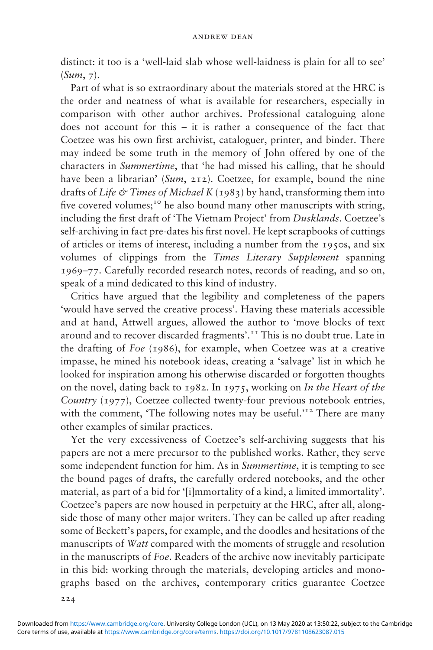distinct: it too is a 'well-laid slab whose well-laidness is plain for all to see'  $(Sum, 7)$ .

Part of what is so extraordinary about the materials stored at the HRC is the order and neatness of what is available for researchers, especially in comparison with other author archives. Professional cataloguing alone does not account for this  $-$  it is rather a consequence of the fact that Coetzee was his own first archivist, cataloguer, printer, and binder. There may indeed be some truth in the memory of John offered by one of the characters in Summertime, that 'he had missed his calling, that he should have been a librarian' (Sum, 212). Coetzee, for example, bound the nine drafts of Life  $\acute{\sigma}$  Times of Michael K (1983) by hand, transforming them into five covered volumes;<sup>10</sup> he also bound many other manuscripts with string, including the first draft of 'The Vietnam Project' from Dusklands. Coetzee's self-archiving in fact pre-dates his first novel. He kept scrapbooks of cuttings of articles or items of interest, including a number from the 1950s, and six volumes of clippings from the Times Literary Supplement spanning 1969–77. Carefully recorded research notes, records of reading, and so on, speak of a mind dedicated to this kind of industry.

Critics have argued that the legibility and completeness of the papers 'would have served the creative process'. Having these materials accessible and at hand, Attwell argues, allowed the author to 'move blocks of text around and to recover discarded fragments'. <sup>11</sup> This is no doubt true. Late in the drafting of Foe (1986), for example, when Coetzee was at a creative impasse, he mined his notebook ideas, creating a 'salvage' list in which he looked for inspiration among his otherwise discarded or forgotten thoughts on the novel, dating back to 1982. In 1975, working on In the Heart of the Country (1977), Coetzee collected twenty-four previous notebook entries, with the comment, 'The following notes may be useful.'<sup>12</sup> There are many other examples of similar practices.

Yet the very excessiveness of Coetzee's self-archiving suggests that his papers are not a mere precursor to the published works. Rather, they serve some independent function for him. As in *Summertime*, it is tempting to see the bound pages of drafts, the carefully ordered notebooks, and the other material, as part of a bid for '[i]mmortality of a kind, a limited immortality'. Coetzee's papers are now housed in perpetuity at the HRC, after all, alongside those of many other major writers. They can be called up after reading some of Beckett's papers, for example, and the doodles and hesitations of the manuscripts of Watt compared with the moments of struggle and resolution in the manuscripts of Foe. Readers of the archive now inevitably participate in this bid: working through the materials, developing articles and monographs based on the archives, contemporary critics guarantee Coetzee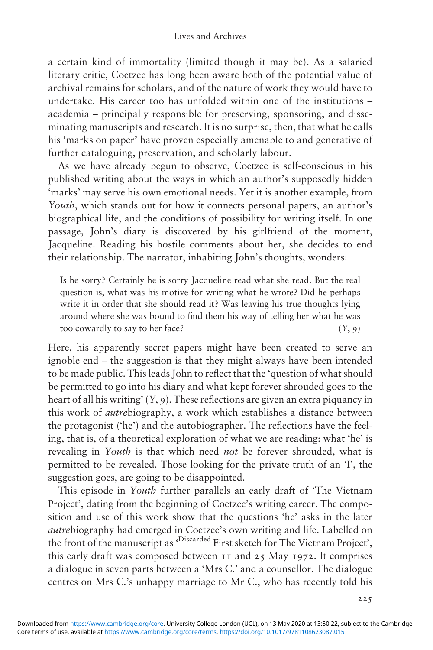a certain kind of immortality (limited though it may be). As a salaried literary critic, Coetzee has long been aware both of the potential value of archival remains for scholars, and of the nature of work they would have to undertake. His career too has unfolded within one of the institutions – academia – principally responsible for preserving, sponsoring, and disseminating manuscripts and research. It is no surprise, then, that what he calls his 'marks on paper' have proven especially amenable to and generative of further cataloguing, preservation, and scholarly labour.

As we have already begun to observe, Coetzee is self-conscious in his published writing about the ways in which an author's supposedly hidden 'marks' may serve his own emotional needs. Yet it is another example, from Youth, which stands out for how it connects personal papers, an author's biographical life, and the conditions of possibility for writing itself. In one passage, John's diary is discovered by his girlfriend of the moment, Jacqueline. Reading his hostile comments about her, she decides to end their relationship. The narrator, inhabiting John's thoughts, wonders:

Is he sorry? Certainly he is sorry Jacqueline read what she read. But the real question is, what was his motive for writing what he wrote? Did he perhaps write it in order that she should read it? Was leaving his true thoughts lying around where she was bound to find them his way of telling her what he was too cowardly to say to her face?  $(Y, 9)$ 

Here, his apparently secret papers might have been created to serve an ignoble end – the suggestion is that they might always have been intended to be made public. This leads John to reflect that the 'question of what should be permitted to go into his diary and what kept forever shrouded goes to the heart of all his writing' (Y, 9). These reflections are given an extra piquancy in this work of autrebiography, a work which establishes a distance between the protagonist ('he') and the autobiographer. The reflections have the feeling, that is, of a theoretical exploration of what we are reading: what 'he' is revealing in Youth is that which need not be forever shrouded, what is permitted to be revealed. Those looking for the private truth of an 'I', the suggestion goes, are going to be disappointed.

This episode in Youth further parallels an early draft of 'The Vietnam Project', dating from the beginning of Coetzee's writing career. The composition and use of this work show that the questions 'he' asks in the later autrebiography had emerged in Coetzee's own writing and life. Labelled on the front of the manuscript as 'Discarded First sketch for The Vietnam Project', this early draft was composed between 11 and 25 May 1972. It comprises a dialogue in seven parts between a 'Mrs C.' and a counsellor. The dialogue centres on Mrs C.'s unhappy marriage to Mr C., who has recently told his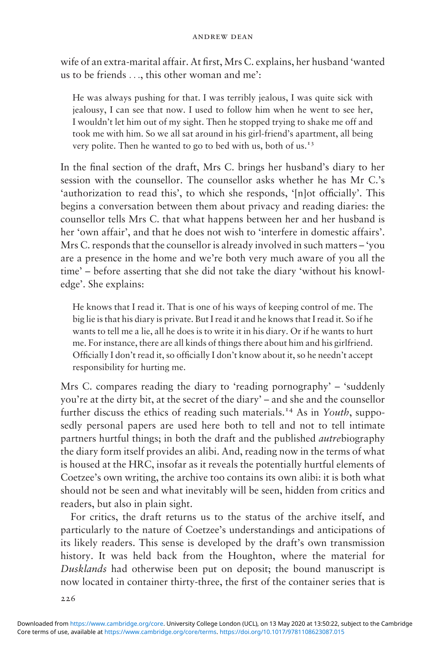wife of an extra-marital affair. At first, Mrs C. explains, her husband 'wanted us to be friends ..., this other woman and me':

He was always pushing for that. I was terribly jealous, I was quite sick with jealousy, I can see that now. I used to follow him when he went to see her, I wouldn't let him out of my sight. Then he stopped trying to shake me off and took me with him. So we all sat around in his girl-friend's apartment, all being very polite. Then he wanted to go to bed with us, both of us.<sup>13</sup>

In the final section of the draft, Mrs C. brings her husband's diary to her session with the counsellor. The counsellor asks whether he has Mr C.'s 'authorization to read this', to which she responds, '[n]ot officially'. This begins a conversation between them about privacy and reading diaries: the counsellor tells Mrs C. that what happens between her and her husband is her 'own affair', and that he does not wish to 'interfere in domestic affairs'. Mrs C. responds that the counsellor is already involved in such matters – 'you are a presence in the home and we're both very much aware of you all the time' – before asserting that she did not take the diary 'without his knowledge'. She explains:

He knows that I read it. That is one of his ways of keeping control of me. The big lie is that his diary is private. But I read it and he knows that I read it. So if he wants to tell me a lie, all he does is to write it in his diary. Or if he wants to hurt me. For instance, there are all kinds of things there about him and his girlfriend. Officially I don't read it, so officially I don't know about it, so he needn't accept responsibility for hurting me.

Mrs C. compares reading the diary to 'reading pornography'–'suddenly you're at the dirty bit, at the secret of the diary' – and she and the counsellor further discuss the ethics of reading such materials.<sup>14</sup> As in Youth, supposedly personal papers are used here both to tell and not to tell intimate partners hurtful things; in both the draft and the published autrebiography the diary form itself provides an alibi. And, reading now in the terms of what is housed at the HRC, insofar as it reveals the potentially hurtful elements of Coetzee's own writing, the archive too contains its own alibi: it is both what should not be seen and what inevitably will be seen, hidden from critics and readers, but also in plain sight.

For critics, the draft returns us to the status of the archive itself, and particularly to the nature of Coetzee's understandings and anticipations of its likely readers. This sense is developed by the draft's own transmission history. It was held back from the Houghton, where the material for Dusklands had otherwise been put on deposit; the bound manuscript is now located in container thirty-three, the first of the container series that is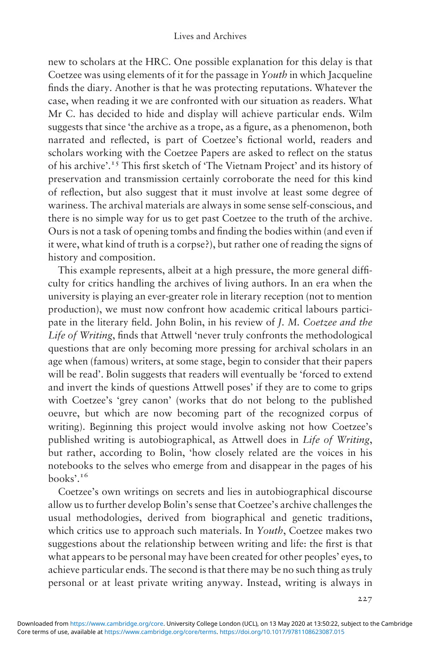new to scholars at the HRC. One possible explanation for this delay is that Coetzee was using elements of it for the passage in Youth in which Jacqueline finds the diary. Another is that he was protecting reputations. Whatever the case, when reading it we are confronted with our situation as readers. What Mr C. has decided to hide and display will achieve particular ends. Wilm suggests that since 'the archive as a trope, as a figure, as a phenomenon, both narrated and reflected, is part of Coetzee's fictional world, readers and scholars working with the Coetzee Papers are asked to reflect on the status of his archive'. <sup>15</sup> This first sketch of 'The Vietnam Project' and its history of preservation and transmission certainly corroborate the need for this kind of reflection, but also suggest that it must involve at least some degree of wariness. The archival materials are always in some sense self-conscious, and there is no simple way for us to get past Coetzee to the truth of the archive. Ours is not a task of opening tombs and finding the bodies within (and even if it were, what kind of truth is a corpse?), but rather one of reading the signs of history and composition.

This example represents, albeit at a high pressure, the more general difficulty for critics handling the archives of living authors. In an era when the university is playing an ever-greater role in literary reception (not to mention production), we must now confront how academic critical labours participate in the literary field. John Bolin, in his review of J. M. Coetzee and the Life of Writing, finds that Attwell 'never truly confronts the methodological questions that are only becoming more pressing for archival scholars in an age when (famous) writers, at some stage, begin to consider that their papers will be read'. Bolin suggests that readers will eventually be 'forced to extend and invert the kinds of questions Attwell poses' if they are to come to grips with Coetzee's 'grey canon' (works that do not belong to the published oeuvre, but which are now becoming part of the recognized corpus of writing). Beginning this project would involve asking not how Coetzee's published writing is autobiographical, as Attwell does in Life of Writing, but rather, according to Bolin, 'how closely related are the voices in his notebooks to the selves who emerge from and disappear in the pages of his books'. 16

Coetzee's own writings on secrets and lies in autobiographical discourse allow us to further develop Bolin's sense that Coetzee's archive challenges the usual methodologies, derived from biographical and genetic traditions, which critics use to approach such materials. In Youth, Coetzee makes two suggestions about the relationship between writing and life: the first is that what appears to be personal may have been created for other peoples' eyes, to achieve particular ends. The second is that there may be no such thing as truly personal or at least private writing anyway. Instead, writing is always in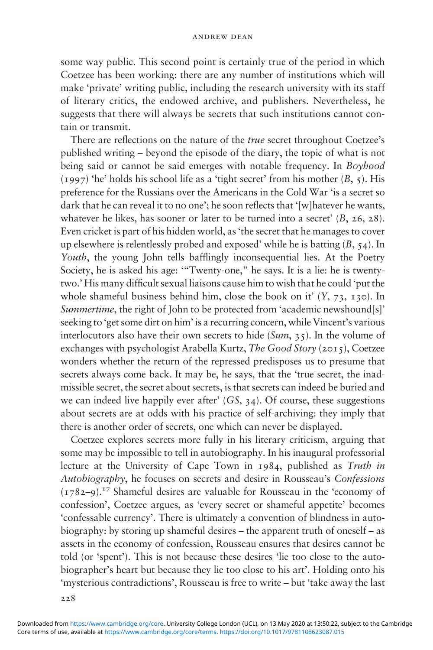some way public. This second point is certainly true of the period in which Coetzee has been working: there are any number of institutions which will make 'private' writing public, including the research university with its staff of literary critics, the endowed archive, and publishers. Nevertheless, he suggests that there will always be secrets that such institutions cannot contain or transmit.

There are reflections on the nature of the *true* secret throughout Coetzee's published writing – beyond the episode of the diary, the topic of what is not being said or cannot be said emerges with notable frequency. In Boyhood  $(1997)$  'he' holds his school life as a 'tight secret' from his mother  $(B, 5)$ . His preference for the Russians over the Americans in the Cold War 'is a secret so dark that he can reveal it to no one'; he soon reflects that '[w]hatever he wants, whatever he likes, has sooner or later to be turned into a secret' (B, 26, 28). Even cricket is part of his hidden world, as'the secret that he manages to cover up elsewhere is relentlessly probed and exposed' while he is batting  $(B, 54)$ . In Youth, the young John tells bafflingly inconsequential lies. At the Poetry Society, he is asked his age: '"Twenty-one," he says. It is a lie: he is twentytwo.' His many difficult sexual liaisons cause him to wish that he could 'put the whole shameful business behind him, close the book on it'  $(Y, 73, 130)$ . In Summertime, the right of John to be protected from 'academic newshound[s]' seeking to 'get some dirt on him' is a recurring concern, while Vincent's various interlocutors also have their own secrets to hide ( $Sum, 35$ ). In the volume of exchanges with psychologist Arabella Kurtz, The Good Story (2015), Coetzee wonders whether the return of the repressed predisposes us to presume that secrets always come back. It may be, he says, that the 'true secret, the inadmissible secret, the secret about secrets, is that secrets can indeed be buried and we can indeed live happily ever after'  $(GS, 34)$ . Of course, these suggestions about secrets are at odds with his practice of self-archiving: they imply that there is another order of secrets, one which can never be displayed.

Coetzee explores secrets more fully in his literary criticism, arguing that some may be impossible to tell in autobiography. In his inaugural professorial lecture at the University of Cape Town in 1984, published as Truth in Autobiography, he focuses on secrets and desire in Rousseau's Confessions  $(1782-9)$ <sup>17</sup> Shameful desires are valuable for Rousseau in the 'economy of confession', Coetzee argues, as 'every secret or shameful appetite' becomes 'confessable currency'. There is ultimately a convention of blindness in autobiography: by storing up shameful desires – the apparent truth of oneself – as assets in the economy of confession, Rousseau ensures that desires cannot be told (or 'spent'). This is not because these desires 'lie too close to the autobiographer's heart but because they lie too close to his art'. Holding onto his 'mysterious contradictions', Rousseau is free to write – but 'take away the last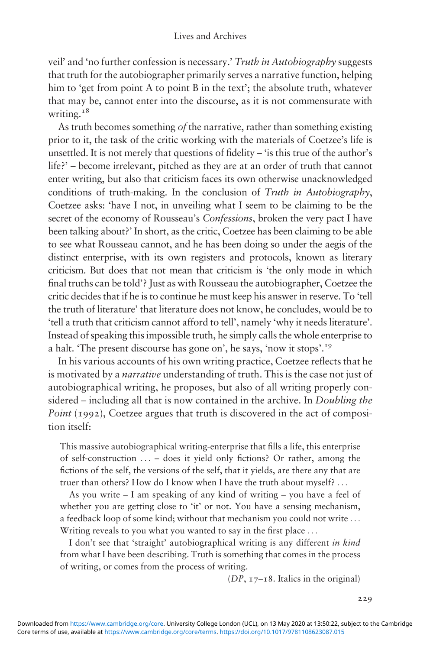veil' and 'no further confession is necessary.' Truth in Autobiography suggests that truth for the autobiographer primarily serves a narrative function, helping him to 'get from point A to point B in the text'; the absolute truth, whatever that may be, cannot enter into the discourse, as it is not commensurate with writing. $18$ 

As truth becomes something of the narrative, rather than something existing prior to it, the task of the critic working with the materials of Coetzee's life is unsettled. It is not merely that questions of fidelity – 'is this true of the author's life?' – become irrelevant, pitched as they are at an order of truth that cannot enter writing, but also that criticism faces its own otherwise unacknowledged conditions of truth-making. In the conclusion of Truth in Autobiography, Coetzee asks: 'have I not, in unveiling what I seem to be claiming to be the secret of the economy of Rousseau's Confessions, broken the very pact I have been talking about?' In short, as the critic, Coetzee has been claiming to be able to see what Rousseau cannot, and he has been doing so under the aegis of the distinct enterprise, with its own registers and protocols, known as literary criticism. But does that not mean that criticism is 'the only mode in which final truths can be told'? Just as with Rousseau the autobiographer, Coetzee the critic decides that if he is to continue he must keep his answer in reserve. To 'tell the truth of literature' that literature does not know, he concludes, would be to 'tell a truth that criticism cannot afford to tell', namely 'why it needs literature'. Instead of speaking this impossible truth, he simply calls the whole enterprise to a halt. 'The present discourse has gone on', he says, 'now it stops'.<sup>19</sup>

In his various accounts of his own writing practice, Coetzee reflects that he is motivated by a narrative understanding of truth. This is the case not just of autobiographical writing, he proposes, but also of all writing properly considered – including all that is now contained in the archive. In Doubling the Point (1992), Coetzee argues that truth is discovered in the act of composition itself:

This massive autobiographical writing-enterprise that fills a life, this enterprise of self-construction ... – does it yield only fictions? Or rather, among the fictions of the self, the versions of the self, that it yields, are there any that are truer than others? How do I know when I have the truth about myself? ...

As you write – I am speaking of any kind of writing – you have a feel of whether you are getting close to 'it' or not. You have a sensing mechanism, a feedback loop of some kind; without that mechanism you could not write ... Writing reveals to you what you wanted to say in the first place ...

I don't see that 'straight' autobiographical writing is any different in kind from what I have been describing. Truth is something that comes in the process of writing, or comes from the process of writing.

(DP, 17–18. Italics in the original)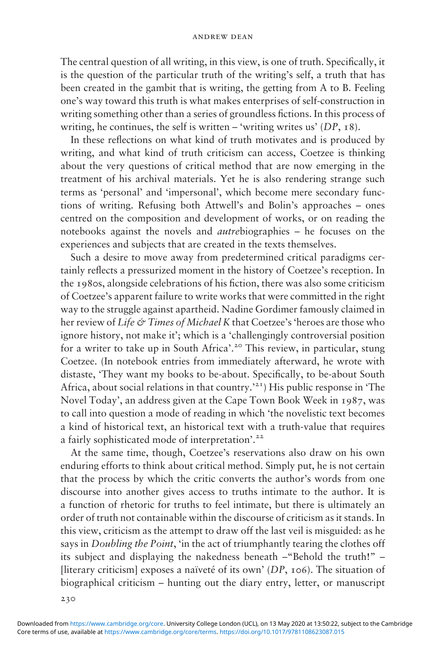## andrew dean

The central question of all writing, in this view, is one of truth. Specifically, it is the question of the particular truth of the writing's self, a truth that has been created in the gambit that is writing, the getting from A to B. Feeling one's way toward this truth is what makes enterprises of self-construction in writing something other than a series of groundless fictions. In this process of writing, he continues, the self is written – 'writing writes us'  $(DP, 18)$ .

In these reflections on what kind of truth motivates and is produced by writing, and what kind of truth criticism can access, Coetzee is thinking about the very questions of critical method that are now emerging in the treatment of his archival materials. Yet he is also rendering strange such terms as 'personal' and 'impersonal', which become mere secondary functions of writing. Refusing both Attwell's and Bolin's approaches – ones centred on the composition and development of works, or on reading the notebooks against the novels and autrebiographies – he focuses on the experiences and subjects that are created in the texts themselves.

Such a desire to move away from predetermined critical paradigms certainly reflects a pressurized moment in the history of Coetzee's reception. In the 1980s, alongside celebrations of his fiction, there was also some criticism of Coetzee's apparent failure to write works that were committed in the right way to the struggle against apartheid. Nadine Gordimer famously claimed in her review of Life & Times of Michael K that Coetzee's 'heroes are those who ignore history, not make it'; which is a 'challengingly controversial position for a writer to take up in South Africa'. <sup>20</sup> This review, in particular, stung Coetzee. (In notebook entries from immediately afterward, he wrote with distaste, 'They want my books to be-about. Specifically, to be-about South Africa, about social relations in that country.<sup>21</sup>) His public response in 'The Novel Today', an address given at the Cape Town Book Week in 1987, was to call into question a mode of reading in which 'the novelistic text becomes a kind of historical text, an historical text with a truth-value that requires a fairly sophisticated mode of interpretation'.<sup>22</sup>

At the same time, though, Coetzee's reservations also draw on his own enduring efforts to think about critical method. Simply put, he is not certain that the process by which the critic converts the author's words from one discourse into another gives access to truths intimate to the author. It is a function of rhetoric for truths to feel intimate, but there is ultimately an order of truth not containable within the discourse of criticism as it stands. In this view, criticism as the attempt to draw off the last veil is misguided: as he says in Doubling the Point, 'in the act of triumphantly tearing the clothes off its subject and displaying the nakedness beneath –"Behold the truth!" – [literary criticism] exposes a naïveté of its own' (DP, 106). The situation of biographical criticism – hunting out the diary entry, letter, or manuscript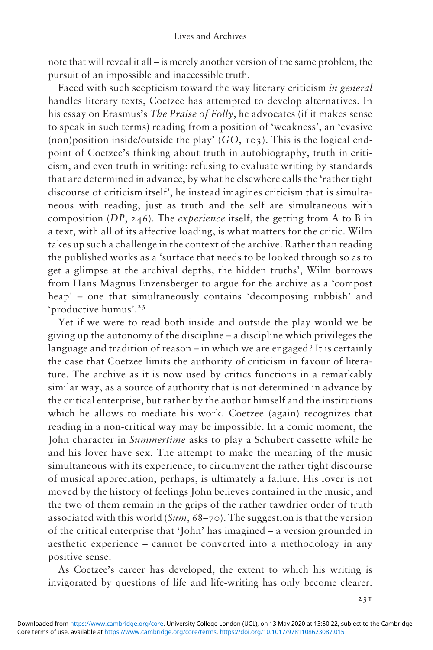note that will reveal it all – is merely another version of the same problem, the pursuit of an impossible and inaccessible truth.

Faced with such scepticism toward the way literary criticism in general handles literary texts, Coetzee has attempted to develop alternatives. In his essay on Erasmus's The Praise of Folly, he advocates (if it makes sense to speak in such terms) reading from a position of 'weakness', an 'evasive (non)position inside/outside the play'  $(GO, 103)$ . This is the logical endpoint of Coetzee's thinking about truth in autobiography, truth in criticism, and even truth in writing: refusing to evaluate writing by standards that are determined in advance, by what he elsewhere calls the 'rather tight discourse of criticism itself', he instead imagines criticism that is simultaneous with reading, just as truth and the self are simultaneous with composition (DP, 246). The experience itself, the getting from A to B in a text, with all of its affective loading, is what matters for the critic. Wilm takes up such a challenge in the context of the archive. Rather than reading the published works as a 'surface that needs to be looked through so as to get a glimpse at the archival depths, the hidden truths', Wilm borrows from Hans Magnus Enzensberger to argue for the archive as a 'compost heap' – one that simultaneously contains 'decomposing rubbish' and 'productive humus'.<sup>23</sup>

Yet if we were to read both inside and outside the play would we be giving up the autonomy of the discipline – a discipline which privileges the language and tradition of reason – in which we are engaged? It is certainly the case that Coetzee limits the authority of criticism in favour of literature. The archive as it is now used by critics functions in a remarkably similar way, as a source of authority that is not determined in advance by the critical enterprise, but rather by the author himself and the institutions which he allows to mediate his work. Coetzee (again) recognizes that reading in a non-critical way may be impossible. In a comic moment, the John character in Summertime asks to play a Schubert cassette while he and his lover have sex. The attempt to make the meaning of the music simultaneous with its experience, to circumvent the rather tight discourse of musical appreciation, perhaps, is ultimately a failure. His lover is not moved by the history of feelings John believes contained in the music, and the two of them remain in the grips of the rather tawdrier order of truth associated with this world ( $Sum, 68-70$ ). The suggestion is that the version of the critical enterprise that 'John' has imagined – a version grounded in aesthetic experience – cannot be converted into a methodology in any positive sense.

As Coetzee's career has developed, the extent to which his writing is invigorated by questions of life and life-writing has only become clearer.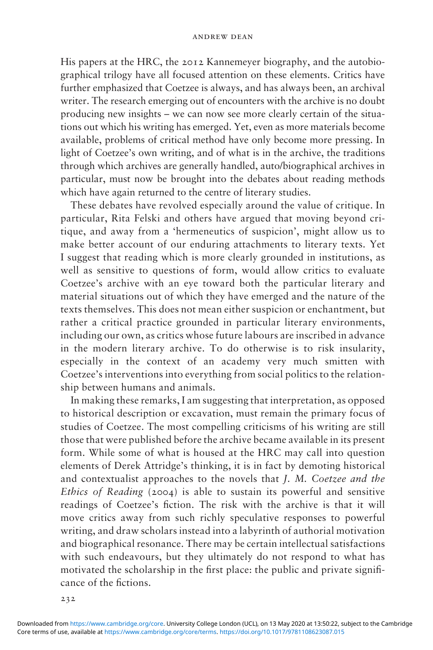His papers at the HRC, the 2012 Kannemeyer biography, and the autobiographical trilogy have all focused attention on these elements. Critics have further emphasized that Coetzee is always, and has always been, an archival writer. The research emerging out of encounters with the archive is no doubt producing new insights – we can now see more clearly certain of the situations out which his writing has emerged. Yet, even as more materials become available, problems of critical method have only become more pressing. In light of Coetzee's own writing, and of what is in the archive, the traditions through which archives are generally handled, auto/biographical archives in particular, must now be brought into the debates about reading methods which have again returned to the centre of literary studies.

These debates have revolved especially around the value of critique. In particular, Rita Felski and others have argued that moving beyond critique, and away from a 'hermeneutics of suspicion', might allow us to make better account of our enduring attachments to literary texts. Yet I suggest that reading which is more clearly grounded in institutions, as well as sensitive to questions of form, would allow critics to evaluate Coetzee's archive with an eye toward both the particular literary and material situations out of which they have emerged and the nature of the texts themselves. This does not mean either suspicion or enchantment, but rather a critical practice grounded in particular literary environments, including our own, as critics whose future labours are inscribed in advance in the modern literary archive. To do otherwise is to risk insularity, especially in the context of an academy very much smitten with Coetzee's interventions into everything from social politics to the relationship between humans and animals.

In making these remarks, I am suggesting that interpretation, as opposed to historical description or excavation, must remain the primary focus of studies of Coetzee. The most compelling criticisms of his writing are still those that were published before the archive became available in its present form. While some of what is housed at the HRC may call into question elements of Derek Attridge's thinking, it is in fact by demoting historical and contextualist approaches to the novels that J. M. Coetzee and the Ethics of Reading (2004) is able to sustain its powerful and sensitive readings of Coetzee's fiction. The risk with the archive is that it will move critics away from such richly speculative responses to powerful writing, and draw scholars instead into a labyrinth of authorial motivation and biographical resonance. There may be certain intellectual satisfactions with such endeavours, but they ultimately do not respond to what has motivated the scholarship in the first place: the public and private significance of the fictions.